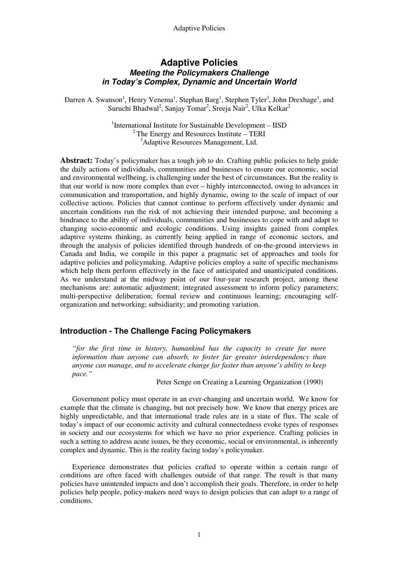# **Adaptive Policies Meeting the Policymakers Challenge in Today's Complex, Dynamic and Uncertain World**

Darren A. Swanson<sup>1</sup>, Henry Venema<sup>1</sup>, Stephan Barg<sup>1</sup>, Stephen Tyler<sup>3</sup>, John Drexhage<sup>1</sup>, and Suruchi Bhadwal<sup>2</sup>, Sanjay Tomar<sup>2</sup>, Sreeja Nair<sup>2</sup>, Ulka Kelkar<sup>2</sup>

> <sup>1</sup>International Institute for Sustainable Development - IISD  $2^2$ The Energy and Resources Institute – TERI <sup>3</sup>Adaptive Resources Management, Ltd.

**Abstract:** Today's policymaker has a tough job to do. Crafting public policies to help guide the daily actions of individuals, communities and businesses to ensure our economic, social and environmental wellbeing, is challenging under the best of circumstances. But the reality is that our world is now more complex than ever – highly interconnected, owing to advances in communication and transportation, and highly dynamic, owing to the scale of impact of our collective actions. Policies that cannot continue to perform effectively under dynamic and uncertain conditions run the risk of not achieving their intended purpose, and becoming a hindrance to the ability of individuals, communities and businesses to cope with and adapt to changing socio-economic and ecologic conditions. Using insights gained from complex adaptive systems thinking, as currently being applied in range of economic sectors, and through the analysis of policies identified through hundreds of on-the-ground interviews in Canada and India, we compile in this paper a pragmatic set of approaches and tools for adaptive policies and policymaking. Adaptive policies employ a suite of specific mechanisms which help them perform effectively in the face of anticipated and unanticipated conditions. As we understand at the midway point of our four-year research project, among these mechanisms are: automatic adjustment; integrated assessment to inform policy parameters; multi-perspective deliberation; formal review and continuous learning; encouraging selforganization and networking; subsidiarity; and promoting variation.

# **Introduction - The Challenge Facing Policymakers**

*"for the first time in history, humankind has the capacity to create far more information than anyone can absorb, to foster far greater interdependency than anyone can manage, and to accelerate change far faster than anyone's ability to keep pace."* 

Peter Senge on Creating a Learning Organization (1990)

 Government policy must operate in an ever-changing and uncertain world. We know for example that the climate is changing, but not precisely how. We know that energy prices are highly unpredictable, and that international trade rules are in a state of flux. The scale of today's impact of our economic activity and cultural connectedness evoke types of responses in society and our ecosystems for which we have no prior experience. Crafting policies in such a setting to address acute issues, be they economic, social or environmental, is inherently complex and dynamic. This is the reality facing today's policymaker.

 Experience demonstrates that policies crafted to operate within a certain range of conditions are often faced with challenges outside of that range. The result is that many policies have unintended impacts and don't accomplish their goals. Therefore, in order to help policies help people, policy-makers need ways to design policies that can adapt to a range of conditions.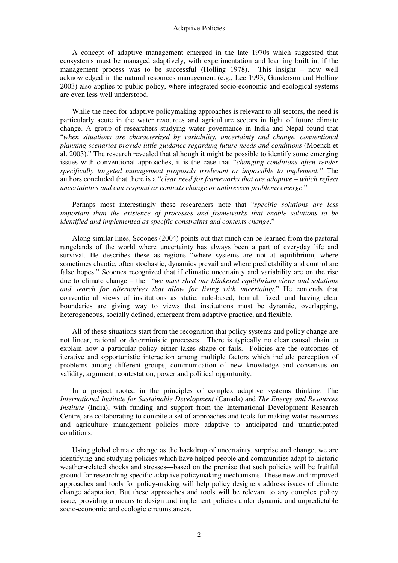A concept of adaptive management emerged in the late 1970s which suggested that ecosystems must be managed adaptively, with experimentation and learning built in, if the management process was to be successful (Holling 1978). This insight – now well acknowledged in the natural resources management (e.g., Lee 1993; Gunderson and Holling 2003) also applies to public policy, where integrated socio-economic and ecological systems are even less well understood.

 While the need for adaptive policymaking approaches is relevant to all sectors, the need is particularly acute in the water resources and agriculture sectors in light of future climate change. A group of researchers studying water governance in India and Nepal found that "*when situations are characterized by variability, uncertainty and change, conventional planning scenarios provide little guidance regarding future needs and conditions* (Moench et al. 2003)." The research revealed that although it might be possible to identify some emerging issues with conventional approaches, it is the case that "*changing conditions often render specifically targeted management proposals irrelevant or impossible to implement."* The authors concluded that there is a "*clear need for frameworks that are adaptive – which reflect uncertainties and can respond as contexts change or unforeseen problems emerge*."

 Perhaps most interestingly these researchers note that "*specific solutions are less important than the existence of processes and frameworks that enable solutions to be identified and implemented as specific constraints and contexts change*."

 Along similar lines, Scoones (2004) points out that much can be learned from the pastoral rangelands of the world where uncertainty has always been a part of everyday life and survival. He describes these as regions "where systems are not at equilibrium, where sometimes chaotic, often stochastic, dynamics prevail and where predictability and control are false hopes." Scoones recognized that if climatic uncertainty and variability are on the rise due to climate change – then "*we must shed our blinkered equilibrium views and solutions and search for alternatives that allow for living with uncertainty*." He contends that conventional views of institutions as static, rule-based, formal, fixed, and having clear boundaries are giving way to views that institutions must be dynamic, overlapping, heterogeneous, socially defined, emergent from adaptive practice, and flexible.

 All of these situations start from the recognition that policy systems and policy change are not linear, rational or deterministic processes. There is typically no clear causal chain to explain how a particular policy either takes shape or fails. Policies are the outcomes of iterative and opportunistic interaction among multiple factors which include perception of problems among different groups, communication of new knowledge and consensus on validity, argument, contestation, power and political opportunity.

 In a project rooted in the principles of complex adaptive systems thinking, The *International Institute for Sustainable Development* (Canada) and *The Energy and Resources Institute* (India), with funding and support from the International Development Research Centre, are collaborating to compile a set of approaches and tools for making water resources and agriculture management policies more adaptive to anticipated and unanticipated conditions.

 Using global climate change as the backdrop of uncertainty, surprise and change, we are identifying and studying policies which have helped people and communities adapt to historic weather-related shocks and stresses—based on the premise that such policies will be fruitful ground for researching specific adaptive policymaking mechanisms. These new and improved approaches and tools for policy-making will help policy designers address issues of climate change adaptation. But these approaches and tools will be relevant to any complex policy issue, providing a means to design and implement policies under dynamic and unpredictable socio-economic and ecologic circumstances.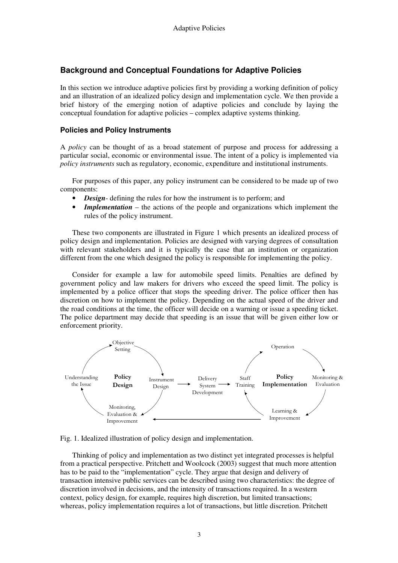# **Background and Conceptual Foundations for Adaptive Policies**

In this section we introduce adaptive policies first by providing a working definition of policy and an illustration of an idealized policy design and implementation cycle. We then provide a brief history of the emerging notion of adaptive policies and conclude by laying the conceptual foundation for adaptive policies – complex adaptive systems thinking.

## **Policies and Policy Instruments**

A *policy* can be thought of as a broad statement of purpose and process for addressing a particular social, economic or environmental issue. The intent of a policy is implemented via *policy instruments* such as regulatory, economic, expenditure and institutional instruments.

 For purposes of this paper, any policy instrument can be considered to be made up of two components:

- *Design* defining the rules for how the instrument is to perform; and
- **Implementation** the actions of the people and organizations which implement the rules of the policy instrument.

 These two components are illustrated in Figure 1 which presents an idealized process of policy design and implementation. Policies are designed with varying degrees of consultation with relevant stakeholders and it is typically the case that an institution or organization different from the one which designed the policy is responsible for implementing the policy.

 Consider for example a law for automobile speed limits. Penalties are defined by government policy and law makers for drivers who exceed the speed limit. The policy is implemented by a police officer that stops the speeding driver. The police officer then has discretion on how to implement the policy. Depending on the actual speed of the driver and the road conditions at the time, the officer will decide on a warning or issue a speeding ticket. The police department may decide that speeding is an issue that will be given either low or enforcement priority.



Fig. 1. Idealized illustration of policy design and implementation.

 Thinking of policy and implementation as two distinct yet integrated processes is helpful from a practical perspective. Pritchett and Woolcock (2003) suggest that much more attention has to be paid to the "implementation" cycle. They argue that design and delivery of transaction intensive public services can be described using two characteristics: the degree of discretion involved in decisions, and the intensity of transactions required. In a western context, policy design, for example, requires high discretion, but limited transactions; whereas, policy implementation requires a lot of transactions, but little discretion. Pritchett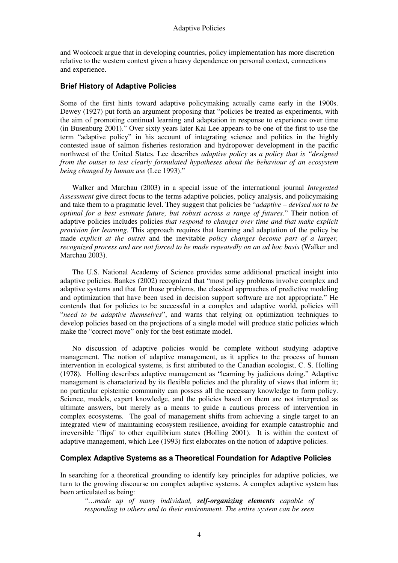and Woolcock argue that in developing countries, policy implementation has more discretion relative to the western context given a heavy dependence on personal context, connections and experience.

## **Brief History of Adaptive Policies**

Some of the first hints toward adaptive policymaking actually came early in the 1900s. Dewey (1927) put forth an argument proposing that "policies be treated as experiments, with the aim of promoting continual learning and adaptation in response to experience over time (in Busenburg 2001)." Over sixty years later Kai Lee appears to be one of the first to use the term "adaptive policy" in his account of integrating science and politics in the highly contested issue of salmon fisheries restoration and hydropower development in the pacific northwest of the United States. Lee describes *adaptive policy* as *a policy that is "designed from the outset to test clearly formulated hypotheses about the behaviour of an ecosystem being changed by human use* (Lee 1993)."

 Walker and Marchau (2003) in a special issue of the international journal *Integrated Assessment* give direct focus to the terms adaptive policies, policy analysis, and policymaking and take them to a pragmatic level. They suggest that policies be "*adaptive – devised not to be optimal for a best estimate future, but robust across a range of futures*." Their notion of adaptive policies includes policies *that respond to changes over time and that make explicit provision for learning.* This approach requires that learning and adaptation of the policy be made *explicit at the outset* and the inevitable *policy changes become part of a larger, recognized process and are not forced to be made repeatedly on an ad hoc basis* (Walker and Marchau 2003).

 The U.S. National Academy of Science provides some additional practical insight into adaptive policies. Bankes (2002) recognized that "most policy problems involve complex and adaptive systems and that for those problems, the classical approaches of predictive modeling and optimization that have been used in decision support software are not appropriate." He contends that for policies to be successful in a complex and adaptive world, policies will "*need to be adaptive themselves*", and warns that relying on optimization techniques to develop policies based on the projections of a single model will produce static policies which make the "correct move" only for the best estimate model.

 No discussion of adaptive policies would be complete without studying adaptive management. The notion of adaptive management, as it applies to the process of human intervention in ecological systems, is first attributed to the Canadian ecologist, C. S. Holling (1978). Holling describes adaptive management as "learning by judicious doing." Adaptive management is characterized by its flexible policies and the plurality of views that inform it; no particular epistemic community can possess all the necessary knowledge to form policy. Science, models, expert knowledge, and the policies based on them are not interpreted as ultimate answers, but merely as a means to guide a cautious process of intervention in complex ecosystems. The goal of management shifts from achieving a single target to an integrated view of maintaining ecosystem resilience, avoiding for example catastrophic and irreversible "flips" to other equilibrium states (Holling 2001). It is within the context of adaptive management, which Lee (1993) first elaborates on the notion of adaptive policies.

## **Complex Adaptive Systems as a Theoretical Foundation for Adaptive Policies**

In searching for a theoretical grounding to identify key principles for adaptive policies, we turn to the growing discourse on complex adaptive systems. A complex adaptive system has been articulated as being:

*"…made up of many individual, self-organizing elements capable of responding to others and to their environment. The entire system can be seen*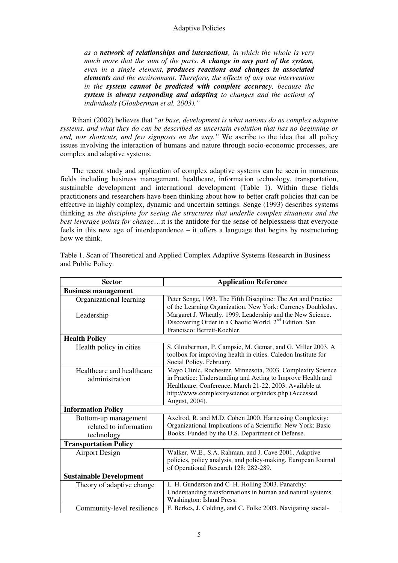*as a network of relationships and interactions, in which the whole is very much more that the sum of the parts. A change in any part of the system, even in a single element, produces reactions and changes in associated elements and the environment. Therefore, the effects of any one intervention in the system cannot be predicted with complete accuracy, because the system is always responding and adapting to changes and the actions of individuals (Glouberman et al. 2003)."* 

 Rihani (2002) believes that "*at base, development is what nations do as complex adaptive systems, and what they do can be described as uncertain evolution that has no beginning or end, nor shortcuts, and few signposts on the way."* We ascribe to the idea that all policy issues involving the interaction of humans and nature through socio-economic processes, are complex and adaptive systems.

 The recent study and application of complex adaptive systems can be seen in numerous fields including business management, healthcare, information technology, transportation, sustainable development and international development (Table 1). Within these fields practitioners and researchers have been thinking about how to better craft policies that can be effective in highly complex, dynamic and uncertain settings. Senge (1993) describes systems thinking as *the discipline for seeing the structures that underlie complex situations and the best leverage points for change*…it is the antidote for the sense of helplessness that everyone feels in this new age of interdependence – it offers a language that begins by restructuring how we think.

| <b>Sector</b>                  | <b>Application Reference</b>                                       |  |  |  |  |  |  |
|--------------------------------|--------------------------------------------------------------------|--|--|--|--|--|--|
| <b>Business management</b>     |                                                                    |  |  |  |  |  |  |
| Organizational learning        | Peter Senge, 1993. The Fifth Discipline: The Art and Practice      |  |  |  |  |  |  |
|                                | of the Learning Organization. New York: Currency Doubleday.        |  |  |  |  |  |  |
| Leadership                     | Margaret J. Wheatly. 1999. Leadership and the New Science.         |  |  |  |  |  |  |
|                                | Discovering Order in a Chaotic World. 2 <sup>nd</sup> Edition. San |  |  |  |  |  |  |
|                                | Francisco: Berrett-Koehler.                                        |  |  |  |  |  |  |
| <b>Health Policy</b>           |                                                                    |  |  |  |  |  |  |
| Health policy in cities        | S. Glouberman, P. Campsie, M. Gemar, and G. Miller 2003. A         |  |  |  |  |  |  |
|                                | toolbox for improving health in cities. Caledon Institute for      |  |  |  |  |  |  |
|                                | Social Policy. February.                                           |  |  |  |  |  |  |
| Healthcare and healthcare      | Mayo Clinic, Rochester, Minnesota, 2003. Complexity Science        |  |  |  |  |  |  |
| administration                 | in Practice: Understanding and Acting to Improve Health and        |  |  |  |  |  |  |
|                                | Healthcare. Conference, March 21-22, 2003. Available at            |  |  |  |  |  |  |
|                                | http://www.complexityscience.org/index.php (Accessed               |  |  |  |  |  |  |
|                                | August, 2004).                                                     |  |  |  |  |  |  |
| <b>Information Policy</b>      |                                                                    |  |  |  |  |  |  |
| Bottom-up management           | Axelrod, R. and M.D. Cohen 2000. Harnessing Complexity:            |  |  |  |  |  |  |
| related to information         | Organizational Implications of a Scientific. New York: Basic       |  |  |  |  |  |  |
| technology                     | Books. Funded by the U.S. Department of Defense.                   |  |  |  |  |  |  |
| <b>Transportation Policy</b>   |                                                                    |  |  |  |  |  |  |
| <b>Airport Design</b>          | Walker, W.E., S.A. Rahman, and J. Cave 2001. Adaptive              |  |  |  |  |  |  |
|                                | policies, policy analysis, and policy-making. European Journal     |  |  |  |  |  |  |
|                                | of Operational Research 128: 282-289.                              |  |  |  |  |  |  |
| <b>Sustainable Development</b> |                                                                    |  |  |  |  |  |  |
| Theory of adaptive change.     | L. H. Gunderson and C.H. Holling 2003. Panarchy:                   |  |  |  |  |  |  |
|                                | Understanding transformations in human and natural systems.        |  |  |  |  |  |  |
|                                | Washington: Island Press.                                          |  |  |  |  |  |  |
| Community-level resilience     | F. Berkes, J. Colding, and C. Folke 2003. Navigating social-       |  |  |  |  |  |  |

Table 1. Scan of Theoretical and Applied Complex Adaptive Systems Research in Business and Public Policy.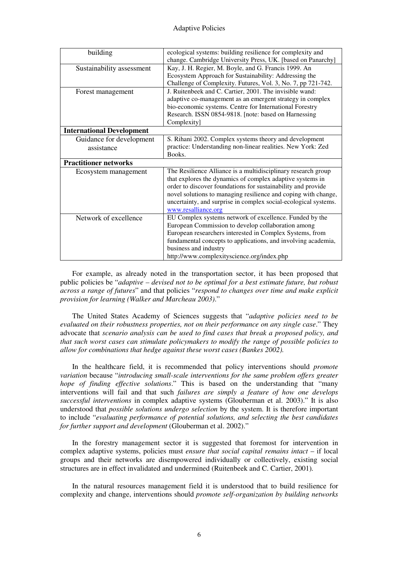| building                         | ecological systems: building resilience for complexity and      |  |  |  |  |
|----------------------------------|-----------------------------------------------------------------|--|--|--|--|
|                                  | change. Cambridge University Press, UK. [based on Panarchy]     |  |  |  |  |
| Sustainability assessment        | Kay, J. H. Regier, M. Boyle, and G. Francis 1999. An            |  |  |  |  |
|                                  | Ecosystem Approach for Sustainability: Addressing the           |  |  |  |  |
|                                  | Challenge of Complexity. Futures, Vol. 3, No. 7, pp 721-742.    |  |  |  |  |
| Forest management                | J. Ruitenbeek and C. Cartier, 2001. The invisible wand:         |  |  |  |  |
|                                  | adaptive co-management as an emergent strategy in complex       |  |  |  |  |
|                                  | bio-economic systems. Centre for International Forestry         |  |  |  |  |
|                                  | Research. ISSN 0854-9818. [note: based on Harnessing            |  |  |  |  |
|                                  | Complexity]                                                     |  |  |  |  |
| <b>International Development</b> |                                                                 |  |  |  |  |
| Guidance for development         | S. Rihani 2002. Complex systems theory and development          |  |  |  |  |
| assistance                       | practice: Understanding non-linear realities. New York: Zed     |  |  |  |  |
|                                  | Books.                                                          |  |  |  |  |
| <b>Practitioner networks</b>     |                                                                 |  |  |  |  |
| Ecosystem management             | The Resilience Alliance is a multidisciplinary research group   |  |  |  |  |
|                                  | that explores the dynamics of complex adaptive systems in       |  |  |  |  |
|                                  | order to discover foundations for sustainability and provide    |  |  |  |  |
|                                  | novel solutions to managing resilience and coping with change,  |  |  |  |  |
|                                  | uncertainty, and surprise in complex social-ecological systems. |  |  |  |  |
|                                  | www.resalliance.org                                             |  |  |  |  |
| Network of excellence            | EU Complex systems network of excellence. Funded by the         |  |  |  |  |
|                                  | European Commission to develop collaboration among              |  |  |  |  |
|                                  | European researchers interested in Complex Systems, from        |  |  |  |  |
|                                  | fundamental concepts to applications, and involving academia,   |  |  |  |  |
|                                  | business and industry                                           |  |  |  |  |
|                                  | http://www.complexityscience.org/index.php                      |  |  |  |  |

 For example, as already noted in the transportation sector, it has been proposed that public policies be "*adaptive – devised not to be optimal for a best estimate future, but robust across a range of futures*" and that policies "*respond to changes over time and make explicit provision for learning (Walker and Marcheau 2003)*."

 The United States Academy of Sciences suggests that "*adaptive policies need to be evaluated on their robustness properties, not on their performance on any single case*." They advocate that *scenario analysis can be used to find cases that break a proposed policy, and that such worst cases can stimulate policymakers to modify the range of possible policies to allow for combinations that hedge against these worst cases (Bankes 2002).*

 In the healthcare field, it is recommended that policy interventions should *promote variation* because "*introducing small-scale interventions for the same problem offers greater hope of finding effective solutions*." This is based on the understanding that "many interventions will fail and that such *failures are simply a feature of how one develops successful interventions* in complex adaptive systems (Glouberman et al. 2003)." It is also understood that *possible solutions undergo selection* by the system. It is therefore important to include "*evaluating performance of potential solutions, and selecting the best candidates for further support and development* (Glouberman et al. 2002)."

 In the forestry management sector it is suggested that foremost for intervention in complex adaptive systems, policies must *ensure that social capital remains intact* – if local groups and their networks are disempowered individually or collectively, existing social structures are in effect invalidated and undermined (Ruitenbeek and C. Cartier, 2001)*.*

 In the natural resources management field it is understood that to build resilience for complexity and change, interventions should *promote self-organization by building networks*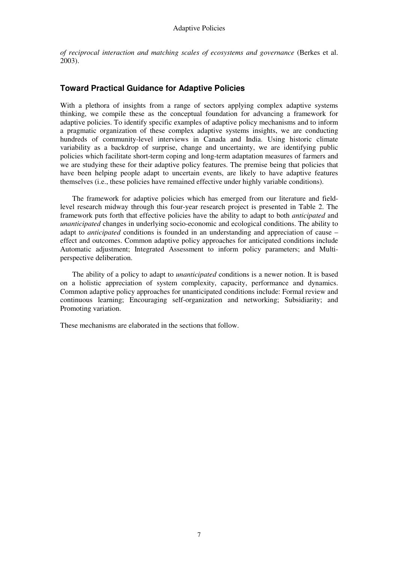*of reciprocal interaction and matching scales of ecosystems and governance* (Berkes et al. 2003).

# **Toward Practical Guidance for Adaptive Policies**

With a plethora of insights from a range of sectors applying complex adaptive systems thinking, we compile these as the conceptual foundation for advancing a framework for adaptive policies. To identify specific examples of adaptive policy mechanisms and to inform a pragmatic organization of these complex adaptive systems insights, we are conducting hundreds of community-level interviews in Canada and India. Using historic climate variability as a backdrop of surprise, change and uncertainty, we are identifying public policies which facilitate short-term coping and long-term adaptation measures of farmers and we are studying these for their adaptive policy features. The premise being that policies that have been helping people adapt to uncertain events, are likely to have adaptive features themselves (i.e., these policies have remained effective under highly variable conditions).

 The framework for adaptive policies which has emerged from our literature and fieldlevel research midway through this four-year research project is presented in Table 2. The framework puts forth that effective policies have the ability to adapt to both *anticipated* and *unanticipated* changes in underlying socio-economic and ecological conditions. The ability to adapt to *anticipated* conditions is founded in an understanding and appreciation of cause – effect and outcomes. Common adaptive policy approaches for anticipated conditions include Automatic adjustment; Integrated Assessment to inform policy parameters; and Multiperspective deliberation.

 The ability of a policy to adapt to *unanticipated* conditions is a newer notion. It is based on a holistic appreciation of system complexity, capacity, performance and dynamics. Common adaptive policy approaches for unanticipated conditions include: Formal review and continuous learning; Encouraging self-organization and networking; Subsidiarity; and Promoting variation.

These mechanisms are elaborated in the sections that follow.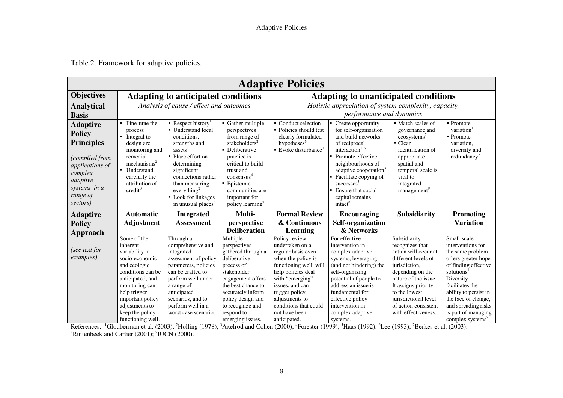Table 2. Framework for adaptive policies.

| <b>Adaptive Policies</b>                                                                                                                                  |                                                                                                                                                                                                                                               |                                                                                                                                                                                                                                                                                          |                                                                                                                                                                                                                                                                 |                                                                                                                                                                                                                                                                  |                                                                                                                                                                                                                                                                                                                    |                                                                                                                                                                                                                                                            |                                                                                                                                                                                                                                                                   |  |  |  |
|-----------------------------------------------------------------------------------------------------------------------------------------------------------|-----------------------------------------------------------------------------------------------------------------------------------------------------------------------------------------------------------------------------------------------|------------------------------------------------------------------------------------------------------------------------------------------------------------------------------------------------------------------------------------------------------------------------------------------|-----------------------------------------------------------------------------------------------------------------------------------------------------------------------------------------------------------------------------------------------------------------|------------------------------------------------------------------------------------------------------------------------------------------------------------------------------------------------------------------------------------------------------------------|--------------------------------------------------------------------------------------------------------------------------------------------------------------------------------------------------------------------------------------------------------------------------------------------------------------------|------------------------------------------------------------------------------------------------------------------------------------------------------------------------------------------------------------------------------------------------------------|-------------------------------------------------------------------------------------------------------------------------------------------------------------------------------------------------------------------------------------------------------------------|--|--|--|
| <b>Objectives</b>                                                                                                                                         | <b>Adapting to anticipated conditions</b>                                                                                                                                                                                                     |                                                                                                                                                                                                                                                                                          |                                                                                                                                                                                                                                                                 | <b>Adapting to unanticipated conditions</b>                                                                                                                                                                                                                      |                                                                                                                                                                                                                                                                                                                    |                                                                                                                                                                                                                                                            |                                                                                                                                                                                                                                                                   |  |  |  |
| <b>Analytical</b>                                                                                                                                         | Analysis of cause / effect and outcomes                                                                                                                                                                                                       |                                                                                                                                                                                                                                                                                          |                                                                                                                                                                                                                                                                 | Holistic appreciation of system complexity, capacity,                                                                                                                                                                                                            |                                                                                                                                                                                                                                                                                                                    |                                                                                                                                                                                                                                                            |                                                                                                                                                                                                                                                                   |  |  |  |
| <b>Basis</b>                                                                                                                                              |                                                                                                                                                                                                                                               |                                                                                                                                                                                                                                                                                          |                                                                                                                                                                                                                                                                 | performance and dynamics                                                                                                                                                                                                                                         |                                                                                                                                                                                                                                                                                                                    |                                                                                                                                                                                                                                                            |                                                                                                                                                                                                                                                                   |  |  |  |
| <b>Adaptive</b><br><b>Policy</b><br><b>Principles</b><br>(compiled from<br>applications of<br>complex<br>adaptive<br>systems in a<br>range of<br>sectors) | Fine-tune the<br>٠.<br>process <sup>1</sup><br>$\blacksquare$<br>Integral to<br>design are<br>monitoring and<br>remedial<br>mechanisms <sup>2</sup><br>$\blacksquare$<br>Understand<br>carefully the<br>attribution of<br>$\mathrm{credit}^3$ | Respect history <sup>1</sup><br>• Understand local<br>conditions.<br>strengths and<br>assets <sup>1</sup><br>• Place effort on<br>determining<br>significant<br>connections rather<br>than measuring<br>everything <sup>2</sup><br>• Look for linkages<br>in unusual places <sup>3</sup> | • Gather multiple<br>perspectives<br>from range of<br>stakeholders <sup>2</sup><br>• Deliberative<br>practice is<br>critical to build<br>trust and<br>consensus <sup>4</sup><br>• Epistemic<br>communities are<br>important for<br>policy learning <sup>3</sup> | $\blacksquare$ Conduct selection<br>• Policies should test<br>clearly formulated<br>hypotheses <sup>6</sup><br>$\blacksquare$ Evoke disturbance <sup>7</sup>                                                                                                     | Create opportunity<br>for self-organisation<br>and build networks<br>of reciprocal<br>interaction <sup>1,7</sup><br>Promote effective<br>neighbourhoods of<br>adaptive cooperation <sup>3</sup><br>Facilitate copying of<br>successes <sup>3</sup><br>Ensure that social<br>capital remains<br>intact <sup>8</sup> | ■ Match scales of<br>governance and<br>ecosystems <sup>7</sup><br>$\blacksquare$ Clear<br>identification of<br>appropriate<br>spatial and<br>temporal scale is<br>vital to<br>integrated<br>management <sup>9</sup>                                        | $\blacksquare$ Promote<br>variation<br>$\blacksquare$ Promote<br>variation,<br>diversity and<br>redundancy <sup>'</sup>                                                                                                                                           |  |  |  |
| <b>Adaptive</b><br><b>Policy</b>                                                                                                                          | <b>Automatic</b><br><b>Adjustment</b>                                                                                                                                                                                                         | <b>Integrated</b><br><b>Assessment</b>                                                                                                                                                                                                                                                   | Multi-<br>perspective                                                                                                                                                                                                                                           | <b>Formal Review</b><br>& Continuous                                                                                                                                                                                                                             | <b>Encouraging</b><br>Self-organization                                                                                                                                                                                                                                                                            | <b>Subsidiarity</b>                                                                                                                                                                                                                                        | <b>Promoting</b><br><b>Variation</b>                                                                                                                                                                                                                              |  |  |  |
| Approach                                                                                                                                                  |                                                                                                                                                                                                                                               |                                                                                                                                                                                                                                                                                          | <b>Deliberation</b>                                                                                                                                                                                                                                             | Learning                                                                                                                                                                                                                                                         | & Networks                                                                                                                                                                                                                                                                                                         |                                                                                                                                                                                                                                                            |                                                                                                                                                                                                                                                                   |  |  |  |
| (see text for<br>examples)                                                                                                                                | Some of the<br>inherent<br>variability in<br>socio-economic<br>and ecologic<br>conditions can be<br>anticipated, and<br>monitoring can<br>help trigger<br>important policy<br>adjustments to<br>keep the policy<br>functioning well.          | Through a<br>comprehensive and<br>integrated<br>assessment of policy<br>parameters, policies<br>can be crafted to<br>perform well under<br>a range of<br>anticipated<br>scenarios, and to<br>perform well in a<br>worst case scenario.                                                   | Multiple<br>perspectives<br>gathered through a<br>deliberative<br>process of<br>stakeholder<br>engagement offers<br>the best chance to<br>accurately inform<br>policy design and<br>to recognize and<br>respond to                                              | Policy review<br>undertaken on a<br>regular basis even<br>when the policy is<br>functioning well, will<br>help policies deal<br>with "emerging"<br>issues, and can<br>trigger policy<br>adjustments to<br>conditions that could<br>not have been<br>anticipated. | For effective<br>intervention in<br>complex adaptive<br>systems, leveraging<br>(and not hindering) the<br>self-organizing<br>potential of people to<br>address an issue is<br>fundamental for<br>effective policy<br>intervention in<br>complex adaptive                                                           | Subsidiarity<br>recognizes that<br>action will occur at<br>different levels of<br>jurisdiction,<br>depending on the<br>nature of the issue.<br>It assigns priority<br>to the lowest<br>jurisdictional level<br>of action consistent<br>with effectiveness. | Small-scale<br>interventions for<br>the same problem<br>offers greater hope<br>of finding effective<br>solutions<br>Diversity<br>facilitates the<br>ability to persist in<br>the face of change,<br>and spreading risks<br>is part of managing<br>complex systems |  |  |  |

References: <sup>1</sup>Glouberman et al. (2003); <sup>2</sup>Holling (1978); <sup>3</sup>Axelrod and Cohen (2000); <sup>4</sup>Forester (1999); <sup>5</sup>Haas (1992); <sup>6</sup>Lee (1993); <sup>7</sup>Berkes et al. (2003); <sup>8</sup>Ruitenbeek and Cartier (2001); <sup>9</sup>IUCN (2000).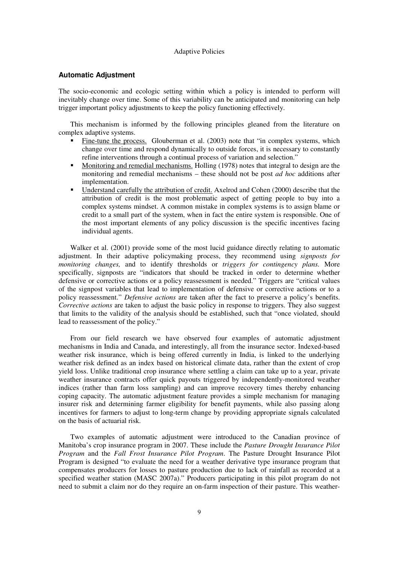#### **Automatic Adjustment**

The socio-economic and ecologic setting within which a policy is intended to perform will inevitably change over time. Some of this variability can be anticipated and monitoring can help trigger important policy adjustments to keep the policy functioning effectively.

 This mechanism is informed by the following principles gleaned from the literature on complex adaptive systems.

- Fine-tune the process. Glouberman et al. (2003) note that "in complex systems, which change over time and respond dynamically to outside forces, it is necessary to constantly refine interventions through a continual process of variation and selection."
- Monitoring and remedial mechanisms. Holling (1978) notes that integral to design are the monitoring and remedial mechanisms – these should not be post *ad hoc* additions after implementation.
- Understand carefully the attribution of credit. Axelrod and Cohen (2000) describe that the attribution of credit is the most problematic aspect of getting people to buy into a complex systems mindset. A common mistake in complex systems is to assign blame or credit to a small part of the system, when in fact the entire system is responsible. One of the most important elements of any policy discussion is the specific incentives facing individual agents.

 Walker et al. (2001) provide some of the most lucid guidance directly relating to automatic adjustment. In their adaptive policymaking process, they recommend using *signposts for monitoring changes,* and to identify thresholds or *triggers for contingency plans.* More specifically, signposts are "indicators that should be tracked in order to determine whether defensive or corrective actions or a policy reassessment is needed." Triggers are "critical values of the signpost variables that lead to implementation of defensive or corrective actions or to a policy reassessment." *Defensive actions* are taken after the fact to preserve a policy's benefits. *Corrective actions* are taken to adjust the basic policy in response to triggers. They also suggest that limits to the validity of the analysis should be established, such that "once violated, should lead to reassessment of the policy."

 From our field research we have observed four examples of automatic adjustment mechanisms in India and Canada, and interestingly, all from the insurance sector. Indexed-based weather risk insurance, which is being offered currently in India, is linked to the underlying weather risk defined as an index based on historical climate data, rather than the extent of crop yield loss. Unlike traditional crop insurance where settling a claim can take up to a year, private weather insurance contracts offer quick payouts triggered by independently-monitored weather indices (rather than farm loss sampling) and can improve recovery times thereby enhancing coping capacity. The automatic adjustment feature provides a simple mechanism for managing insurer risk and determining farmer eligibility for benefit payments, while also passing along incentives for farmers to adjust to long-term change by providing appropriate signals calculated on the basis of actuarial risk.

 Two examples of automatic adjustment were introduced to the Canadian province of Manitoba's crop insurance program in 2007. These include the *Pasture Drought Insurance Pilot Program* and the *Fall Frost Insurance Pilot Program*. The Pasture Drought Insurance Pilot Program is designed "to evaluate the need for a weather derivative type insurance program that compensates producers for losses to pasture production due to lack of rainfall as recorded at a specified weather station (MASC 2007a)." Producers participating in this pilot program do not need to submit a claim nor do they require an on-farm inspection of their pasture. This weather-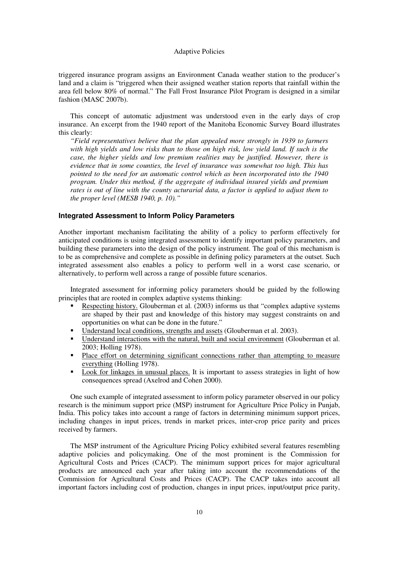triggered insurance program assigns an Environment Canada weather station to the producer's land and a claim is "triggered when their assigned weather station reports that rainfall within the area fell below 80% of normal." The Fall Frost Insurance Pilot Program is designed in a similar fashion (MASC 2007b).

 This concept of automatic adjustment was understood even in the early days of crop insurance. An excerpt from the 1940 report of the Manitoba Economic Survey Board illustrates this clearly:

*"Field representatives believe that the plan appealed more strongly in 1939 to farmers with high yields and low risks than to those on high risk, low yield land. If such is the case, the higher yields and low premium realities may be justified. However, there is evidence that in some counties, the level of insurance was somewhat too high. This has pointed to the need for an automatic control which as been incorporated into the 1940 program. Under this method, if the aggregate of individual insured yields and premium rates is out of line with the county acturarial data, a factor is applied to adjust them to the proper level (MESB 1940, p. 10)."* 

### **Integrated Assessment to Inform Policy Parameters**

Another important mechanism facilitating the ability of a policy to perform effectively for anticipated conditions is using integrated assessment to identify important policy parameters, and building these parameters into the design of the policy instrument. The goal of this mechanism is to be as comprehensive and complete as possible in defining policy parameters at the outset. Such integrated assessment also enables a policy to perform well in a worst case scenario, or alternatively, to perform well across a range of possible future scenarios.

 Integrated assessment for informing policy parameters should be guided by the following principles that are rooted in complex adaptive systems thinking:

- Respecting history. Glouberman et al. (2003) informs us that "complex adaptive systems are shaped by their past and knowledge of this history may suggest constraints on and opportunities on what can be done in the future."
- Understand local conditions, strengths and assets (Glouberman et al. 2003).
- Understand interactions with the natural, built and social environment (Glouberman et al. 2003; Holling 1978).
- Place effort on determining significant connections rather than attempting to measure everything (Holling 1978).
- **Look for linkages in unusual places.** It is important to assess strategies in light of how consequences spread (Axelrod and Cohen 2000).

 One such example of integrated assessment to inform policy parameter observed in our policy research is the minimum support price (MSP) instrument for Agriculture Price Policy in Punjab, India. This policy takes into account a range of factors in determining minimum support prices, including changes in input prices, trends in market prices, inter-crop price parity and prices received by farmers.

 The MSP instrument of the Agriculture Pricing Policy exhibited several features resembling adaptive policies and policymaking. One of the most prominent is the Commission for Agricultural Costs and Prices (CACP). The minimum support prices for major agricultural products are announced each year after taking into account the recommendations of the Commission for Agricultural Costs and Prices (CACP). The CACP takes into account all important factors including cost of production, changes in input prices, input/output price parity,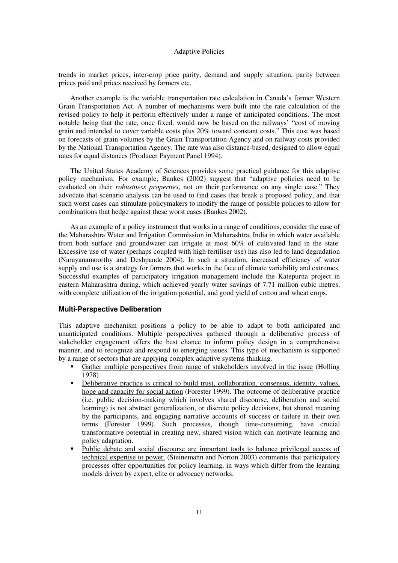trends in market prices, inter-crop price parity, demand and supply situation, parity between prices paid and prices received by farmers etc.

 Another example is the variable transportation rate calculation in Canada's former Western Grain Transportation Act. A number of mechanisms were built into the rate calculation of the revised policy to help it perform effectively under a range of anticipated conditions. The most notable being that the rate, once fixed, would now be based on the railways' "cost of moving grain and intended to cover variable costs plus 20% toward constant costs." This cost was based on forecasts of grain volumes by the Grain Transportation Agency and on railway costs provided by the National Transportation Agency. The rate was also distance-based, designed to allow equal rates for equal distances (Producer Payment Panel 1994).

 The United States Academy of Sciences provides some practical guidance for this adaptive policy mechanism. For example, Bankes (2002) suggest that "adaptive policies need to be evaluated on their *robustness properties*, not on their performance on any single case." They advocate that scenario analysis can be used to find cases that break a proposed policy, and that such worst cases can stimulate policymakers to modify the range of possible policies to allow for combinations that hedge against these worst cases (Bankes 2002).

 As an example of a policy instrument that works in a range of conditions, consider the case of the Maharashtra Water and Irrigation Commission in Maharashtra, India in which water available from both surface and groundwater can irrigate at most 60% of cultivated land in the state. Excessive use of water (perhaps coupled with high fertiliser use) has also led to land degradation (Narayanamoorthy and Deshpande 2004). In such a situation, increased efficiency of water supply and use is a strategy for farmers that works in the face of climate variability and extremes. Successful examples of participatory irrigation management include the Katepurna project in eastern Maharashtra during, which achieved yearly water savings of 7.71 million cubic metres, with complete utilization of the irrigation potential, and good yield of cotton and wheat crops.

#### **Multi-Perspective Deliberation**

This adaptive mechanism positions a policy to be able to adapt to both anticipated and unanticipated conditions. Multiple perspectives gathered through a deliberative process of stakeholder engagement offers the best chance to inform policy design in a comprehensive manner, and to recognize and respond to emerging issues. This type of mechanism is supported by a range of sectors that are applying complex adaptive systems thinking.

- Gather multiple perspectives from range of stakeholders involved in the issue (Holling 1978)
- Deliberative practice is critical to build trust, collaboration, consensus, identity, values, hope and capacity for social action (Forester 1999). The outcome of deliberative practice (i.e. public decision-making which involves shared discourse, deliberation and social learning) is not abstract generalization, or discrete policy decisions, but shared meaning by the participants, and engaging narrative accounts of success or failure in their own terms (Forester 1999). Such processes, though time-consuming, have crucial transformative potential in creating new, shared vision which can motivate learning and policy adaptation.
- Public debate and social discourse are important tools to balance privileged access of technical expertise to power. (Steinemann and Norton 2003) comments that participatory processes offer opportunities for policy learning, in ways which differ from the learning models driven by expert, elite or advocacy networks.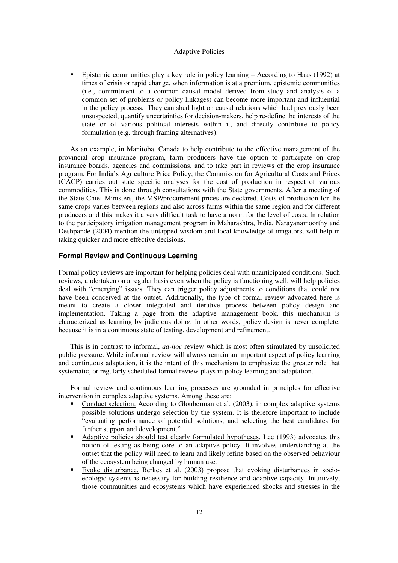Epistemic communities play a key role in policy learning – According to Haas (1992) at times of crisis or rapid change, when information is at a premium, epistemic communities (i.e., commitment to a common causal model derived from study and analysis of a common set of problems or policy linkages) can become more important and influential in the policy process. They can shed light on causal relations which had previously been unsuspected, quantify uncertainties for decision-makers, help re-define the interests of the state or of various political interests within it, and directly contribute to policy formulation (e.g. through framing alternatives).

 As an example, in Manitoba, Canada to help contribute to the effective management of the provincial crop insurance program, farm producers have the option to participate on crop insurance boards, agencies and commissions, and to take part in reviews of the crop insurance program. For India's Agriculture Price Policy, the Commission for Agricultural Costs and Prices (CACP) carries out state specific analyses for the cost of production in respect of various commodities. This is done through consultations with the State governments. After a meeting of the State Chief Ministers, the MSP/procurement prices are declared. Costs of production for the same crops varies between regions and also across farms within the same region and for different producers and this makes it a very difficult task to have a norm for the level of costs. In relation to the participatory irrigation management program in Maharashtra, India, Narayanamoorthy and Deshpande (2004) mention the untapped wisdom and local knowledge of irrigators, will help in taking quicker and more effective decisions.

## **Formal Review and Continuous Learning**

Formal policy reviews are important for helping policies deal with unanticipated conditions. Such reviews, undertaken on a regular basis even when the policy is functioning well, will help policies deal with "emerging" issues. They can trigger policy adjustments to conditions that could not have been conceived at the outset. Additionally, the type of formal review advocated here is meant to create a closer integrated and iterative process between policy design and implementation. Taking a page from the adaptive management book, this mechanism is characterized as learning by judicious doing. In other words, policy design is never complete, because it is in a continuous state of testing, development and refinement.

 This is in contrast to informal, *ad-hoc* review which is most often stimulated by unsolicited public pressure. While informal review will always remain an important aspect of policy learning and continuous adaptation, it is the intent of this mechanism to emphasize the greater role that systematic, or regularly scheduled formal review plays in policy learning and adaptation.

 Formal review and continuous learning processes are grounded in principles for effective intervention in complex adaptive systems. Among these are:

- Conduct selection. According to Glouberman et al. (2003), in complex adaptive systems possible solutions undergo selection by the system. It is therefore important to include "evaluating performance of potential solutions, and selecting the best candidates for further support and development."
- Adaptive policies should test clearly formulated hypotheses. Lee (1993) advocates this notion of testing as being core to an adaptive policy. It involves understanding at the outset that the policy will need to learn and likely refine based on the observed behaviour of the ecosystem being changed by human use.
- Evoke disturbance. Berkes et al. (2003) propose that evoking disturbances in socioecologic systems is necessary for building resilience and adaptive capacity. Intuitively, those communities and ecosystems which have experienced shocks and stresses in the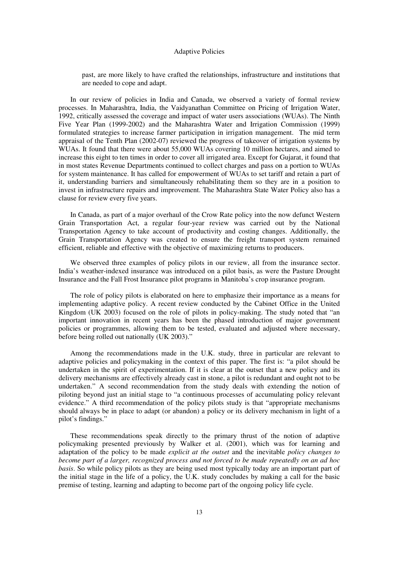past, are more likely to have crafted the relationships, infrastructure and institutions that are needed to cope and adapt.

 In our review of policies in India and Canada, we observed a variety of formal review processes. In Maharashtra, India, the Vaidyanathan Committee on Pricing of Irrigation Water, 1992, critically assessed the coverage and impact of water users associations (WUAs). The Ninth Five Year Plan (1999-2002) and the Maharashtra Water and Irrigation Commission (1999) formulated strategies to increase farmer participation in irrigation management. The mid term appraisal of the Tenth Plan (2002-07) reviewed the progress of takeover of irrigation systems by WUAs. It found that there were about 55,000 WUAs covering 10 million hectares, and aimed to increase this eight to ten times in order to cover all irrigated area. Except for Gujarat, it found that in most states Revenue Departments continued to collect charges and pass on a portion to WUAs for system maintenance. It has called for empowerment of WUAs to set tariff and retain a part of it, understanding barriers and simultaneously rehabilitating them so they are in a position to invest in infrastructure repairs and improvement. The Maharashtra State Water Policy also has a clause for review every five years.

 In Canada, as part of a major overhaul of the Crow Rate policy into the now defunct Western Grain Transportation Act, a regular four-year review was carried out by the National Transportation Agency to take account of productivity and costing changes. Additionally, the Grain Transportation Agency was created to ensure the freight transport system remained efficient, reliable and effective with the objective of maximizing returns to producers.

 We observed three examples of policy pilots in our review, all from the insurance sector. India's weather-indexed insurance was introduced on a pilot basis, as were the Pasture Drought Insurance and the Fall Frost Insurance pilot programs in Manitoba's crop insurance program.

 The role of policy pilots is elaborated on here to emphasize their importance as a means for implementing adaptive policy. A recent review conducted by the Cabinet Office in the United Kingdom (UK 2003) focused on the role of pilots in policy-making. The study noted that "an important innovation in recent years has been the phased introduction of major government policies or programmes, allowing them to be tested, evaluated and adjusted where necessary, before being rolled out nationally (UK 2003)."

 Among the recommendations made in the U.K. study, three in particular are relevant to adaptive policies and policymaking in the context of this paper. The first is: "a pilot should be undertaken in the spirit of experimentation. If it is clear at the outset that a new policy and its delivery mechanisms are effectively already cast in stone, a pilot is redundant and ought not to be undertaken." A second recommendation from the study deals with extending the notion of piloting beyond just an initial stage to "a continuous processes of accumulating policy relevant evidence." A third recommendation of the policy pilots study is that "appropriate mechanisms should always be in place to adapt (or abandon) a policy or its delivery mechanism in light of a pilot's findings."

 These recommendations speak directly to the primary thrust of the notion of adaptive policymaking presented previously by Walker et al. (2001), which was for learning and adaptation of the policy to be made *explicit at the outset* and the inevitable *policy changes to become part of a larger, recognized process and not forced to be made repeatedly on an ad hoc basis*. So while policy pilots as they are being used most typically today are an important part of the initial stage in the life of a policy, the U.K. study concludes by making a call for the basic premise of testing, learning and adapting to become part of the ongoing policy life cycle.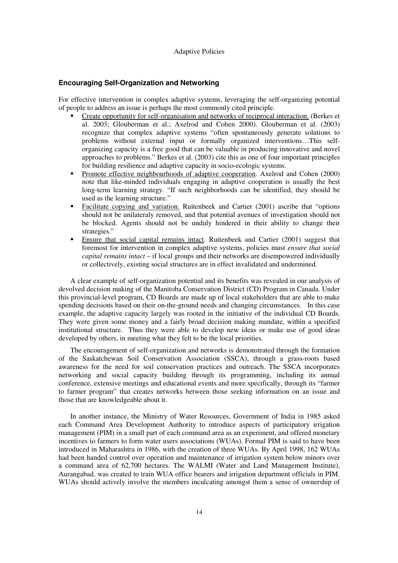#### **Encouraging Self-Organization and Networking**

For effective intervention in complex adaptive systems, leveraging the self-organizing potential of people to address an issue is perhaps the most commonly cited principle.

- Create opportunity for self-organisation and networks of reciprocal interaction. (Berkes et al. 2003; Glouberman et al.; Axelrod and Cohen 2000). Glouberman et al. (2003) recognize that complex adaptive systems "often spontaneously generate solutions to problems without external input or formally organized interventions…This selforganizing capacity is a free good that can be valuable in producing innovative and novel approaches to problems." Berkes et al. (2003) cite this as one of four important principles for building resilience and adaptive capacity in socio-ecologic systems.
- **Promote effective neighbourhoods of adaptive cooperation.** Axelrod and Cohen (2000) note that like-minded individuals engaging in adaptive cooperation is usually the best long-term learning strategy. "If such neighborhoods can be identified, they should be used as the learning structure."
- Facilitate copying and variation. Ruitenbeek and Cartier (2001) ascribe that "options should not be unilateraly removed, and that potential avenues of investigation should not be blocked. Agents should not be unduly hindered in their ability to change their strategies."
- Ensure that social capital remains intact. Ruitenbeek and Cartier (2001) suggest that foremost for intervention in complex adaptive systems, policies must *ensure that social capital remains intact* – if local groups and their networks are disempowered individually or collectively, existing social structures are in effect invalidated and undermined.

 A clear example of self-organization potential and its benefits was revealed in our analysis of devolved decision making of the Manitoba Conservation District (CD) Program in Canada. Under this provincial-level program, CD Boards are made up of local stakeholders that are able to make spending decisions based on their on-the-ground needs and changing circumstances. In this case example, the adaptive capacity largely was rooted in the initiative of the individual CD Boards. They were given some money and a fairly broad decision making mandate, within a specified institutional structure. Thus they were able to develop new ideas or make use of good ideas developed by others, in meeting what they felt to be the local priorities.

 The encouragement of self-organization and networks is demonstrated through the formation of the Saskatchewan Soil Conservation Association (SSCA), through a grass-roots based awareness for the need for soil conservation practices and outreach. The SSCA incorporates networking and social capacity building through its programming, including its annual conference, extensive meetings and educational events and more specifically, through its "farmer to farmer program" that creates networks between those seeking information on an issue and those that are knowledgeable about it.

 In another instance, the Ministry of Water Resources, Government of India in 1985 asked each Command Area Development Authority to introduce aspects of participatory irrigation management (PIM) in a small part of each command area as an experiment, and offered monetary incentives to farmers to form water users associations (WUAs). Formal PIM is said to have been introduced in Maharashtra in 1986, with the creation of three WUAs. By April 1998, 162 WUAs had been handed control over operation and maintenance of irrigation system below minors over a command area of 62,700 hectares. The WALMI (Water and Land Management Institute), Aurangabad, was created to train WUA office bearers and irrigation department officials in PIM. WUAs should actively involve the members inculcating amongst them a sense of ownership of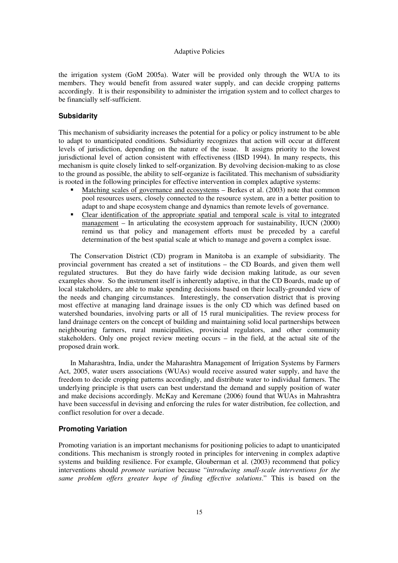the irrigation system (GoM 2005a). Water will be provided only through the WUA to its members. They would benefit from assured water supply, and can decide cropping patterns accordingly. It is their responsibility to administer the irrigation system and to collect charges to be financially self-sufficient.

## **Subsidarity**

This mechanism of subsidiarity increases the potential for a policy or policy instrument to be able to adapt to unanticipated conditions. Subsidiarity recognizes that action will occur at different levels of jurisdiction, depending on the nature of the issue. It assigns priority to the lowest jurisdictional level of action consistent with effectiveness (IISD 1994). In many respects, this mechanism is quite closely linked to self-organization. By devolving decision-making to as close to the ground as possible, the ability to self-organize is facilitated. This mechanism of subsidiarity is rooted in the following principles for effective intervention in complex adaptive systems:

- Matching scales of governance and ecosystems Berkes et al. (2003) note that common pool resources users, closely connected to the resource system, are in a better position to adapt to and shape ecosystem change and dynamics than remote levels of governance.
- Clear identification of the appropriate spatial and temporal scale is vital to integrated management – In articulating the ecosystem approach for sustainability, IUCN (2000) remind us that policy and management efforts must be preceded by a careful determination of the best spatial scale at which to manage and govern a complex issue.

 The Conservation District (CD) program in Manitoba is an example of subsidiarity*.* The provincial government has created a set of institutions – the CD Boards, and given them well regulated structures. But they do have fairly wide decision making latitude, as our seven examples show. So the instrument itself is inherently adaptive, in that the CD Boards, made up of local stakeholders, are able to make spending decisions based on their locally-grounded view of the needs and changing circumstances. Interestingly, the conservation district that is proving most effective at managing land drainage issues is the only CD which was defined based on watershed boundaries, involving parts or all of 15 rural municipalities. The review process for land drainage centers on the concept of building and maintaining solid local partnerships between neighbouring farmers, rural municipalities, provincial regulators, and other community stakeholders. Only one project review meeting occurs – in the field, at the actual site of the proposed drain work.

 In Maharashtra, India, under the Maharashtra Management of Irrigation Systems by Farmers Act, 2005, water users associations (WUAs) would receive assured water supply, and have the freedom to decide cropping patterns accordingly, and distribute water to individual farmers. The underlying principle is that users can best understand the demand and supply position of water and make decisions accordingly. McKay and Keremane (2006) found that WUAs in Mahrashtra have been successful in devising and enforcing the rules for water distribution, fee collection, and conflict resolution for over a decade.

### **Promoting Variation**

Promoting variation is an important mechanisms for positioning policies to adapt to unanticipated conditions. This mechanism is strongly rooted in principles for intervening in complex adaptive systems and building resilience. For example, Glouberman et al. (2003) recommend that policy interventions should *promote variation* because "*introducing small-scale interventions for the same problem offers greater hope of finding effective solutions*." This is based on the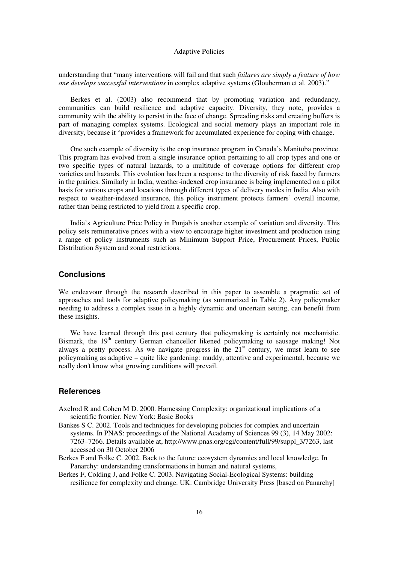understanding that "many interventions will fail and that such *failures are simply a feature of how one develops successful interventions* in complex adaptive systems (Glouberman et al. 2003)."

 Berkes et al. (2003) also recommend that by promoting variation and redundancy, communities can build resilience and adaptive capacity. Diversity, they note, provides a community with the ability to persist in the face of change. Spreading risks and creating buffers is part of managing complex systems. Ecological and social memory plays an important role in diversity, because it "provides a framework for accumulated experience for coping with change.

 One such example of diversity is the crop insurance program in Canada's Manitoba province. This program has evolved from a single insurance option pertaining to all crop types and one or two specific types of natural hazards, to a multitude of coverage options for different crop varieties and hazards. This evolution has been a response to the diversity of risk faced by farmers in the prairies. Similarly in India, weather-indexed crop insurance is being implemented on a pilot basis for various crops and locations through different types of delivery modes in India. Also with respect to weather-indexed insurance, this policy instrument protects farmers' overall income, rather than being restricted to yield from a specific crop.

 India's Agriculture Price Policy in Punjab is another example of variation and diversity. This policy sets remunerative prices with a view to encourage higher investment and production using a range of policy instruments such as Minimum Support Price, Procurement Prices, Public Distribution System and zonal restrictions.

## **Conclusions**

We endeavour through the research described in this paper to assemble a pragmatic set of approaches and tools for adaptive policymaking (as summarized in Table 2). Any policymaker needing to address a complex issue in a highly dynamic and uncertain setting, can benefit from these insights.

 We have learned through this past century that policymaking is certainly not mechanistic. Bismark, the 19<sup>th</sup> century German chancellor likened policymaking to sausage making! Not always a pretty process. As we navigate progress in the  $21<sup>st</sup>$  century, we must learn to see policymaking as adaptive – quite like gardening: muddy, attentive and experimental, because we really don't know what growing conditions will prevail.

## **References**

- Axelrod R and Cohen M D. 2000. Harnessing Complexity: organizational implications of a scientific frontier. New York: Basic Books
- Bankes S C. 2002. Tools and techniques for developing policies for complex and uncertain systems. In PNAS: proceedings of the National Academy of Sciences 99 (3), 14 May 2002: 7263–7266. Details available at, http://www.pnas.org/cgi/content/full/99/suppl\_3/7263, last accessed on 30 October 2006
- Berkes F and Folke C. 2002. Back to the future: ecosystem dynamics and local knowledge. In Panarchy: understanding transformations in human and natural systems,
- Berkes F, Colding J, and Folke C. 2003. Navigating Social-Ecological Systems: building resilience for complexity and change. UK: Cambridge University Press [based on Panarchy]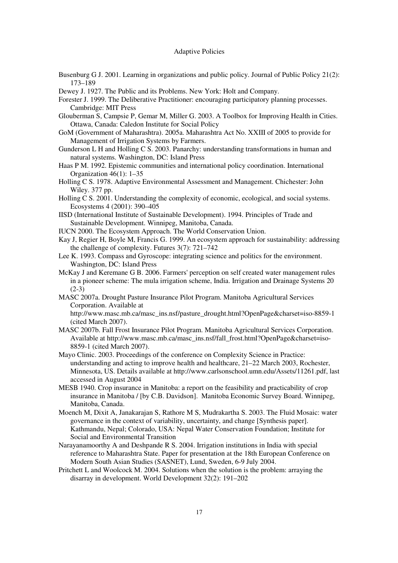- Busenburg G J. 2001. Learning in organizations and public policy. Journal of Public Policy 21(2): 173–189
- Dewey J. 1927. The Public and its Problems. New York: Holt and Company.
- Forester J. 1999. The Deliberative Practitioner: encouraging participatory planning processes. Cambridge: MIT Press
- Glouberman S, Campsie P, Gemar M, Miller G. 2003. A Toolbox for Improving Health in Cities. Ottawa, Canada: Caledon Institute for Social Policy
- GoM (Government of Maharashtra). 2005a. Maharashtra Act No. XXIII of 2005 to provide for Management of Irrigation Systems by Farmers.
- Gunderson L H and Holling C S. 2003. Panarchy: understanding transformations in human and natural systems. Washington, DC: Island Press
- Haas P M. 1992. Epistemic communities and international policy coordination. International Organization 46(1): 1–35
- Holling C S. 1978. Adaptive Environmental Assessment and Management. Chichester: John Wiley. 377 pp.
- Holling C S. 2001. Understanding the complexity of economic, ecological, and social systems. Ecosystems 4 (2001): 390–405
- IISD (International Institute of Sustainable Development). 1994. Principles of Trade and Sustainable Development. Winnipeg, Manitoba, Canada.
- IUCN 2000. The Ecosystem Approach. The World Conservation Union.
- Kay J, Regier H, Boyle M, Francis G. 1999. An ecosystem approach for sustainability: addressing the challenge of complexity. Futures 3(7): 721–742
- Lee K. 1993. Compass and Gyroscope: integrating science and politics for the environment. Washington, DC: Island Press
- McKay J and Keremane G B. 2006. Farmers' perception on self created water management rules in a pioneer scheme: The mula irrigation scheme, India. Irrigation and Drainage Systems 20 (2-3)
- MASC 2007a. Drought Pasture Insurance Pilot Program. Manitoba Agricultural Services Corporation. Available at

http://www.masc.mb.ca/masc\_ins.nsf/pasture\_drought.html?OpenPage&charset=iso-8859-1 (cited March 2007).

- MASC 2007b. Fall Frost Insurance Pilot Program. Manitoba Agricultural Services Corporation. Available at http://www.masc.mb.ca/masc\_ins.nsf/fall\_frost.html?OpenPage&charset=iso-8859-1 (cited March 2007).
- Mayo Clinic. 2003. Proceedings of the conference on Complexity Science in Practice: understanding and acting to improve health and healthcare, 21–22 March 2003, Rochester, Minnesota, US. Details available at http://www.carlsonschool.umn.edu/Assets/11261.pdf, last accessed in August 2004
- MESB 1940. Crop insurance in Manitoba: a report on the feasibility and practicability of crop insurance in Manitoba / [by C.B. Davidson]. Manitoba Economic Survey Board. Winnipeg, Manitoba, Canada.
- Moench M, Dixit A, Janakarajan S, Rathore M S, Mudrakartha S. 2003. The Fluid Mosaic: water governance in the context of variability, uncertainty, and change [Synthesis paper]. Kathmandu, Nepal; Colorado, USA: Nepal Water Conservation Foundation; Institute for Social and Environmental Transition
- Narayanamoorthy A and Deshpande R S. 2004. Irrigation institutions in India with special reference to Maharashtra State. Paper for presentation at the 18th European Conference on Modern South Asian Studies (SASNET), Lund, Sweden, 6-9 July 2004.
- Pritchett L and Woolcock M. 2004. Solutions when the solution is the problem: arraying the disarray in development. World Development 32(2): 191–202